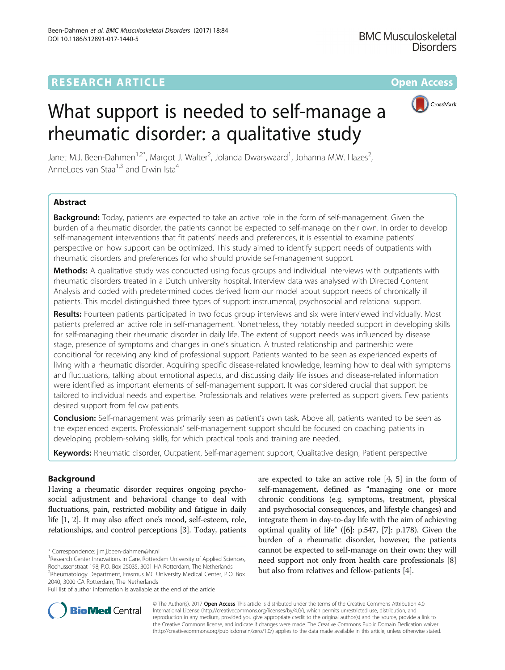# **RESEARCH ARTICLE Example 2014 12:30 The Community Community Community Community Community Community Community**



# What support is needed to self-manage a rheumatic disorder: a qualitative study

Janet M.J. Been-Dahmen<sup>1,2\*</sup>, Margot J. Walter<sup>2</sup>, Jolanda Dwarswaard<sup>1</sup>, Johanna M.W. Hazes<sup>2</sup> , Annel oes van Staa<sup>1,3</sup> and Erwin Ista<sup>4</sup>

# Abstract

**Background:** Today, patients are expected to take an active role in the form of self-management. Given the burden of a rheumatic disorder, the patients cannot be expected to self-manage on their own. In order to develop self-management interventions that fit patients' needs and preferences, it is essential to examine patients' perspective on how support can be optimized. This study aimed to identify support needs of outpatients with rheumatic disorders and preferences for who should provide self-management support.

Methods: A qualitative study was conducted using focus groups and individual interviews with outpatients with rheumatic disorders treated in a Dutch university hospital. Interview data was analysed with Directed Content Analysis and coded with predetermined codes derived from our model about support needs of chronically ill patients. This model distinguished three types of support: instrumental, psychosocial and relational support.

Results: Fourteen patients participated in two focus group interviews and six were interviewed individually. Most patients preferred an active role in self-management. Nonetheless, they notably needed support in developing skills for self-managing their rheumatic disorder in daily life. The extent of support needs was influenced by disease stage, presence of symptoms and changes in one's situation. A trusted relationship and partnership were conditional for receiving any kind of professional support. Patients wanted to be seen as experienced experts of living with a rheumatic disorder. Acquiring specific disease-related knowledge, learning how to deal with symptoms and fluctuations, talking about emotional aspects, and discussing daily life issues and disease-related information were identified as important elements of self-management support. It was considered crucial that support be tailored to individual needs and expertise. Professionals and relatives were preferred as support givers. Few patients desired support from fellow patients.

Conclusion: Self-management was primarily seen as patient's own task. Above all, patients wanted to be seen as the experienced experts. Professionals' self-management support should be focused on coaching patients in developing problem-solving skills, for which practical tools and training are needed.

Keywords: Rheumatic disorder, Outpatient, Self-management support, Qualitative design, Patient perspective

# Background

Having a rheumatic disorder requires ongoing psychosocial adjustment and behavioral change to deal with fluctuations, pain, restricted mobility and fatigue in daily life [\[1, 2](#page-7-0)]. It may also affect one's mood, self-esteem, role, relationships, and control perceptions [\[3](#page-7-0)]. Today, patients

are expected to take an active role [\[4, 5\]](#page-7-0) in the form of self-management, defined as "managing one or more chronic conditions (e.g. symptoms, treatment, physical and psychosocial consequences, and lifestyle changes) and integrate them in day-to-day life with the aim of achieving optimal quality of life" ([\[6](#page-7-0)]: p.547, [\[7](#page-7-0)]: p.178). Given the burden of a rheumatic disorder, however, the patients cannot be expected to self-manage on their own; they will need support not only from health care professionals [[8](#page-7-0)] but also from relatives and fellow-patients [\[4](#page-7-0)].



© The Author(s). 2017 **Open Access** This article is distributed under the terms of the Creative Commons Attribution 4.0 International License [\(http://creativecommons.org/licenses/by/4.0/](http://creativecommons.org/licenses/by/4.0/)), which permits unrestricted use, distribution, and reproduction in any medium, provided you give appropriate credit to the original author(s) and the source, provide a link to the Creative Commons license, and indicate if changes were made. The Creative Commons Public Domain Dedication waiver [\(http://creativecommons.org/publicdomain/zero/1.0/](http://creativecommons.org/publicdomain/zero/1.0/)) applies to the data made available in this article, unless otherwise stated.

<sup>\*</sup> Correspondence: [j.m.j.been-dahmen@hr.nl](mailto:j.m.j.been-dahmen@hr.nl) <sup>1</sup>

<sup>&</sup>lt;sup>1</sup> Research Center Innovations in Care, Rotterdam University of Applied Sciences, Rochussenstraat 198, P.O. Box 25035, 3001 HA Rotterdam, The Netherlands <sup>2</sup>Rheumatology Department, Erasmus MC University Medical Center, P.O. Box 2040, 3000 CA Rotterdam, The Netherlands

Full list of author information is available at the end of the article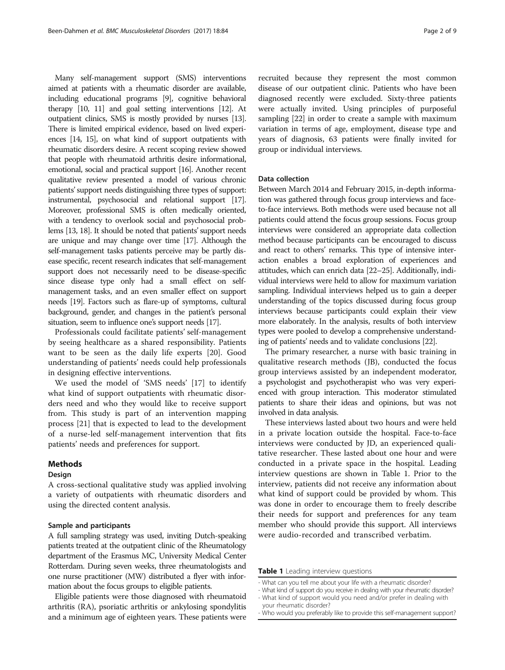Many self-management support (SMS) interventions aimed at patients with a rheumatic disorder are available, including educational programs [[9](#page-7-0)], cognitive behavioral therapy [\[10](#page-7-0), [11](#page-7-0)] and goal setting interventions [\[12](#page-8-0)]. At outpatient clinics, SMS is mostly provided by nurses [\[13](#page-8-0)]. There is limited empirical evidence, based on lived experiences [\[14, 15](#page-8-0)], on what kind of support outpatients with rheumatic disorders desire. A recent scoping review showed that people with rheumatoid arthritis desire informational, emotional, social and practical support [[16\]](#page-8-0). Another recent qualitative review presented a model of various chronic patients'support needs distinguishing three types of support: instrumental, psychosocial and relational support [\[17](#page-8-0)]. Moreover, professional SMS is often medically oriented, with a tendency to overlook social and psychosocial problems [\[13, 18](#page-8-0)]. It should be noted that patients'support needs are unique and may change over time [\[17](#page-8-0)]. Although the self-management tasks patients perceive may be partly disease specific, recent research indicates that self-management support does not necessarily need to be disease-specific since disease type only had a small effect on selfmanagement tasks, and an even smaller effect on support needs [[19\]](#page-8-0). Factors such as flare-up of symptoms, cultural background, gender, and changes in the patient's personal situation, seem to influence one's support needs [\[17\]](#page-8-0).

Professionals could facilitate patients' self-management by seeing healthcare as a shared responsibility. Patients want to be seen as the daily life experts [\[20](#page-8-0)]. Good understanding of patients' needs could help professionals in designing effective interventions.

We used the model of 'SMS needs' [[17\]](#page-8-0) to identify what kind of support outpatients with rheumatic disorders need and who they would like to receive support from. This study is part of an intervention mapping process [[21](#page-8-0)] that is expected to lead to the development of a nurse-led self-management intervention that fits patients' needs and preferences for support.

#### Methods

#### Design

A cross-sectional qualitative study was applied involving a variety of outpatients with rheumatic disorders and using the directed content analysis.

# Sample and participants

A full sampling strategy was used, inviting Dutch-speaking patients treated at the outpatient clinic of the Rheumatology department of the Erasmus MC, University Medical Center Rotterdam. During seven weeks, three rheumatologists and one nurse practitioner (MW) distributed a flyer with information about the focus groups to eligible patients.

Eligible patients were those diagnosed with rheumatoid arthritis (RA), psoriatic arthritis or ankylosing spondylitis and a minimum age of eighteen years. These patients were

recruited because they represent the most common disease of our outpatient clinic. Patients who have been diagnosed recently were excluded. Sixty-three patients were actually invited. Using principles of purposeful sampling [\[22\]](#page-8-0) in order to create a sample with maximum variation in terms of age, employment, disease type and years of diagnosis, 63 patients were finally invited for group or individual interviews.

# Data collection

Between March 2014 and February 2015, in-depth information was gathered through focus group interviews and faceto-face interviews. Both methods were used because not all patients could attend the focus group sessions. Focus group interviews were considered an appropriate data collection method because participants can be encouraged to discuss and react to others' remarks. This type of intensive interaction enables a broad exploration of experiences and attitudes, which can enrich data [\[22](#page-8-0)–[25\]](#page-8-0). Additionally, individual interviews were held to allow for maximum variation sampling. Individual interviews helped us to gain a deeper understanding of the topics discussed during focus group interviews because participants could explain their view more elaborately. In the analysis, results of both interview types were pooled to develop a comprehensive understanding of patients' needs and to validate conclusions [\[22\]](#page-8-0).

The primary researcher, a nurse with basic training in qualitative research methods (JB), conducted the focus group interviews assisted by an independent moderator, a psychologist and psychotherapist who was very experienced with group interaction. This moderator stimulated patients to share their ideas and opinions, but was not involved in data analysis.

These interviews lasted about two hours and were held in a private location outside the hospital. Face-to-face interviews were conducted by JD, an experienced qualitative researcher. These lasted about one hour and were conducted in a private space in the hospital. Leading interview questions are shown in Table 1. Prior to the interview, patients did not receive any information about what kind of support could be provided by whom. This was done in order to encourage them to freely describe their needs for support and preferences for any team member who should provide this support. All interviews were audio-recorded and transcribed verbatim.

Table 1 Leading interview questions

- What can you tell me about your life with a rheumatic disorder?
- What kind of support do you receive in dealing with your rheumatic disorder? - What kind of support would you need and/or prefer in dealing with
- your rheumatic disorder?
- Who would you preferably like to provide this self-management support?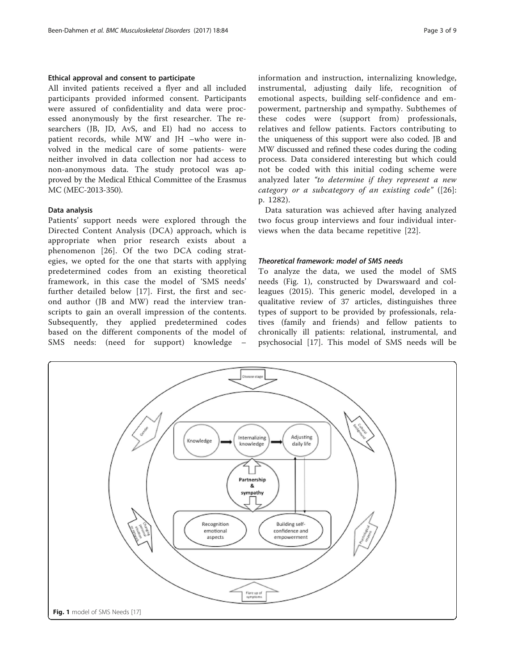# <span id="page-2-0"></span>Ethical approval and consent to participate

All invited patients received a flyer and all included participants provided informed consent. Participants were assured of confidentiality and data were processed anonymously by the first researcher. The researchers (JB, JD, AvS, and EI) had no access to patient records, while MW and JH –who were involved in the medical care of some patients- were neither involved in data collection nor had access to non-anonymous data. The study protocol was approved by the Medical Ethical Committee of the Erasmus MC (MEC-2013-350).

# Data analysis

Patients' support needs were explored through the Directed Content Analysis (DCA) approach, which is appropriate when prior research exists about a phenomenon [[26\]](#page-8-0). Of the two DCA coding strategies, we opted for the one that starts with applying predetermined codes from an existing theoretical framework, in this case the model of 'SMS needs' further detailed below [[17](#page-8-0)]. First, the first and second author (JB and MW) read the interview transcripts to gain an overall impression of the contents. Subsequently, they applied predetermined codes based on the different components of the model of SMS needs: (need for support) knowledge –

information and instruction, internalizing knowledge, instrumental, adjusting daily life, recognition of emotional aspects, building self-confidence and empowerment, partnership and sympathy. Subthemes of these codes were (support from) professionals, relatives and fellow patients. Factors contributing to the uniqueness of this support were also coded. JB and MW discussed and refined these codes during the coding process. Data considered interesting but which could not be coded with this initial coding scheme were analyzed later "to determine if they represent a new category or a subcategory of an existing code" ([[26](#page-8-0)]: p. 1282).

Data saturation was achieved after having analyzed two focus group interviews and four individual interviews when the data became repetitive [[22\]](#page-8-0).

#### Theoretical framework: model of SMS needs

To analyze the data, we used the model of SMS needs (Fig. 1), constructed by Dwarswaard and colleagues (2015). This generic model, developed in a qualitative review of 37 articles, distinguishes three types of support to be provided by professionals, relatives (family and friends) and fellow patients to chronically ill patients: relational, instrumental, and psychosocial [\[17](#page-8-0)]. This model of SMS needs will be

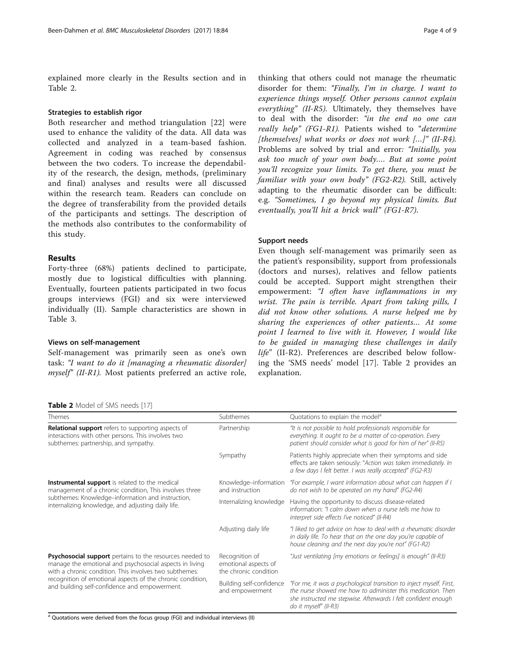explained more clearly in the Results section and in Table 2.

# Strategies to establish rigor

Both researcher and method triangulation [[22](#page-8-0)] were used to enhance the validity of the data. All data was collected and analyzed in a team-based fashion. Agreement in coding was reached by consensus between the two coders. To increase the dependability of the research, the design, methods, (preliminary and final) analyses and results were all discussed within the research team. Readers can conclude on the degree of transferability from the provided details of the participants and settings. The description of the methods also contributes to the conformability of this study.

# Results

Forty-three (68%) patients declined to participate, mostly due to logistical difficulties with planning. Eventually, fourteen patients participated in two focus groups interviews (FGI) and six were interviewed individually (II). Sample characteristics are shown in Table [3](#page-4-0).

# Views on self-management

Self-management was primarily seen as one's own task: "I want to do it [managing a rheumatic disorder] myself" (II-R1). Most patients preferred an active role,

#### Table 2 Model of SMS needs [[17](#page-8-0)]

thinking that others could not manage the rheumatic disorder for them: "Finally, I'm in charge. I want to experience things myself. Other persons cannot explain everything" (II-R5). Ultimately, they themselves have to deal with the disorder: "in the end no one can really help" (FG1-R1). Patients wished to "determine [themselves] what works or does not work  $[...]$ " (II-R4). Problems are solved by trial and error: "Initially, you ask too much of your own body…. But at some point you'll recognize your limits. To get there, you must be familiar with your own body" (FG2-R2). Still, actively adapting to the rheumatic disorder can be difficult: e.g. "Sometimes, I go beyond my physical limits. But eventually, you'll hit a brick wall" (FG1-R7).

# Support needs

Even though self-management was primarily seen as the patient's responsibility, support from professionals (doctors and nurses), relatives and fellow patients could be accepted. Support might strengthen their empowerment: "I often have inflammations in my wrist. The pain is terrible. Apart from taking pills, I did not know other solutions. A nurse helped me by sharing the experiences of other patients… At some point I learned to live with it. However, I would like to be guided in managing these challenges in daily life" (II-R2). Preferences are described below following the 'SMS needs' model [[17](#page-8-0)]. Table 2 provides an explanation.

| Themes                                                                                                                                                                                                                                                                                       | Subthemes                                                       | Quotations to explain the model <sup>a</sup>                                                                                                                                                                                  |
|----------------------------------------------------------------------------------------------------------------------------------------------------------------------------------------------------------------------------------------------------------------------------------------------|-----------------------------------------------------------------|-------------------------------------------------------------------------------------------------------------------------------------------------------------------------------------------------------------------------------|
| <b>Relational support</b> refers to supporting aspects of<br>interactions with other persons. This involves two<br>subthemes: partnership, and sympathy.                                                                                                                                     | Partnership                                                     | "It is not possible to hold professionals responsible for<br>everything. It ought to be a matter of co-operation. Every<br>patient should consider what is good for him of her" (II-R5)                                       |
|                                                                                                                                                                                                                                                                                              | Sympathy                                                        | Patients highly appreciate when their symptoms and side<br>effects are taken seriously: "Action was taken immediately. In<br>a few days I felt better. I was really accepted" (FG2-R3)                                        |
| <b>Instrumental support</b> is related to the medical<br>management of a chronic condition, This involves three<br>subthemes: Knowledge-information and instruction,<br>internalizing knowledge, and adjusting daily life.                                                                   | Knowledge-information<br>and instruction                        | "For example, I want information about what can happen if I<br>do not wish to be operated on my hand" (FG2-R4)                                                                                                                |
|                                                                                                                                                                                                                                                                                              | Internalizing knowledge                                         | Having the opportunity to discuss disease-related<br>information: "I calm down when a nurse tells me how to<br>interpret side effects I've noticed" (II-R4)                                                                   |
|                                                                                                                                                                                                                                                                                              | Adjusting daily life                                            | "I liked to get advice on how to deal with a rheumatic disorder<br>in daily life. To hear that on the one day you're capable of<br>house cleaning and the next day you're not" (FG1-R2)                                       |
| Psychosocial support pertains to the resources needed to<br>manage the emotional and psychosocial aspects in living<br>with a chronic condition. This involves two subthemes:<br>recognition of emotional aspects of the chronic condition,<br>and building self-confidence and empowerment. | Recognition of<br>emotional aspects of<br>the chronic condition | "Just ventilating [my emotions or feelings] is enough" (II-R3)                                                                                                                                                                |
|                                                                                                                                                                                                                                                                                              | Building self-confidence<br>and empowerment                     | "For me, it was a psychological transition to inject myself. First,<br>the nurse showed me how to administer this medication. Then<br>she instructed me stepwise. Afterwards I felt confident enough<br>do it myself" (II-R3) |

<sup>a</sup> Quotations were derived from the focus group (FGI) and individual interviews (II)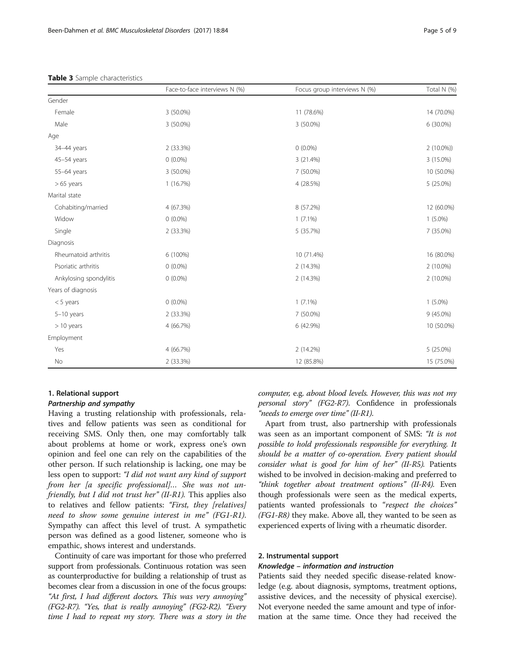|                        | Face-to-face interviews N (%) | Focus group interviews N (%) | Total N (%) |
|------------------------|-------------------------------|------------------------------|-------------|
| Gender                 |                               |                              |             |
| Female                 | 3 (50.0%)                     | 11 (78.6%)                   | 14 (70.0%)  |
| Male                   | 3 (50.0%)                     | 3 (50.0%)                    | 6 (30.0%)   |
| Age                    |                               |                              |             |
| 34-44 years            | 2 (33.3%)                     | $0(0.0\%)$                   | $2(10.0\%)$ |
| 45-54 years            | $0(0.0\%)$                    | 3 (21.4%)                    | 3 (15.0%)   |
| 55-64 years            | 3 (50.0%)                     | 7 (50.0%)                    | 10 (50.0%)  |
| $>65$ years            | 1(16.7%)                      | 4 (28.5%)                    | 5 (25.0%)   |
| Marital state          |                               |                              |             |
| Cohabiting/married     | 4 (67.3%)                     | 8 (57.2%)                    | 12 (60.0%)  |
| Widow                  | $0(0.0\%)$                    | $1(7.1\%)$                   | $1(5.0\%)$  |
| Single                 | 2 (33.3%)                     | 5 (35.7%)                    | 7 (35.0%)   |
| Diagnosis              |                               |                              |             |
| Rheumatoid arthritis   | 6 (100%)                      | 10 (71.4%)                   | 16 (80.0%)  |
| Psoriatic arthritis    | $0(0.0\%)$                    | 2 (14.3%)                    | $2(10.0\%)$ |
| Ankylosing spondylitis | $0(0.0\%)$                    | 2 (14.3%)                    | 2 (10.0%)   |
| Years of diagnosis     |                               |                              |             |
| $< 5$ years            | $0(0.0\%)$                    | $1(7.1\%)$                   | $1(5.0\%)$  |
| $5-10$ years           | 2 (33.3%)                     | 7 (50.0%)                    | $9(45.0\%)$ |
| $>10$ years            | 4 (66.7%)                     | 6 (42.9%)                    | 10 (50.0%)  |
| Employment             |                               |                              |             |
| Yes                    | 4 (66.7%)                     | 2 (14.2%)                    | 5 (25.0%)   |
| No                     | 2 (33.3%)                     | 12 (85.8%)                   | 15 (75.0%)  |

#### <span id="page-4-0"></span>Table 3 Sample characteristics

# 1. Relational support

# Partnership and sympathy

Having a trusting relationship with professionals, relatives and fellow patients was seen as conditional for receiving SMS. Only then, one may comfortably talk about problems at home or work, express one's own opinion and feel one can rely on the capabilities of the other person. If such relationship is lacking, one may be less open to support: "I did not want any kind of support from her [a specific professional]... She was not unfriendly, but I did not trust her" (II-R1). This applies also to relatives and fellow patients: "First, they [relatives] need to show some genuine interest in me" (FG1-R1). Sympathy can affect this level of trust. A sympathetic person was defined as a good listener, someone who is empathic, shows interest and understands.

Continuity of care was important for those who preferred support from professionals. Continuous rotation was seen as counterproductive for building a relationship of trust as becomes clear from a discussion in one of the focus groups: "At first, I had different doctors. This was very annoying" (FG2-R7). "Yes, that is really annoying" (FG2-R2). "Every time I had to repeat my story. There was a story in the computer, e.g. about blood levels. However, this was not my personal story" (FG2-R7). Confidence in professionals "needs to emerge over time" (II-R1).

Apart from trust, also partnership with professionals was seen as an important component of SMS: "It is not possible to hold professionals responsible for everything. It should be a matter of co-operation. Every patient should consider what is good for him of her" (II-R5). Patients wished to be involved in decision-making and preferred to "think together about treatment options" (II-R4). Even though professionals were seen as the medical experts, patients wanted professionals to "respect the choices" (FG1-R8) they make. Above all, they wanted to be seen as experienced experts of living with a rheumatic disorder.

# 2. Instrumental support

# Knowledge – information and instruction

Patients said they needed specific disease-related knowledge (e.g. about diagnosis, symptoms, treatment options, assistive devices, and the necessity of physical exercise). Not everyone needed the same amount and type of information at the same time. Once they had received the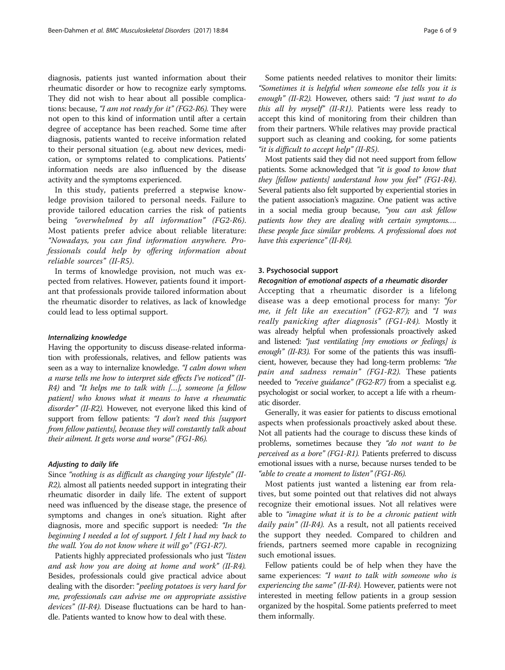diagnosis, patients just wanted information about their rheumatic disorder or how to recognize early symptoms. They did not wish to hear about all possible complications: because, "I am not ready for it" (FG2-R6). They were not open to this kind of information until after a certain degree of acceptance has been reached. Some time after diagnosis, patients wanted to receive information related to their personal situation (e.g. about new devices, medication, or symptoms related to complications. Patients' information needs are also influenced by the disease activity and the symptoms experienced.

In this study, patients preferred a stepwise knowledge provision tailored to personal needs. Failure to provide tailored education carries the risk of patients being "overwhelmed by all information" (FG2-R6). Most patients prefer advice about reliable literature: "Nowadays, you can find information anywhere. Professionals could help by offering information about reliable sources" (II-R5).

In terms of knowledge provision, not much was expected from relatives. However, patients found it important that professionals provide tailored information about the rheumatic disorder to relatives, as lack of knowledge could lead to less optimal support.

#### Internalizing knowledge

Having the opportunity to discuss disease-related information with professionals, relatives, and fellow patients was seen as a way to internalize knowledge. "I calm down when a nurse tells me how to interpret side effects I've noticed" (II- $R4$ ) and "It helps me to talk with [...], someone [a fellow patient] who knows what it means to have a rheumatic disorder" (II-R2). However, not everyone liked this kind of support from fellow patients: "I don't need this [support from fellow patients], because they will constantly talk about their ailment. It gets worse and worse" (FG1-R6).

#### Adjusting to daily life

Since "nothing is as difficult as changing your lifestyle" (II-R2), almost all patients needed support in integrating their rheumatic disorder in daily life. The extent of support need was influenced by the disease stage, the presence of symptoms and changes in one's situation. Right after diagnosis, more and specific support is needed: "In the beginning I needed a lot of support. I felt I had my back to the wall. You do not know where it will go" (FG1-R7).

Patients highly appreciated professionals who just "listen and ask how you are doing at home and work" (II-R4). Besides, professionals could give practical advice about dealing with the disorder: "peeling potatoes is very hard for me, professionals can advise me on appropriate assistive devices" (II-R4). Disease fluctuations can be hard to handle. Patients wanted to know how to deal with these.

Some patients needed relatives to monitor their limits: "Sometimes it is helpful when someone else tells you it is enough" (II-R2). However, others said: "I just want to do this all by myself" (II-R1). Patients were less ready to accept this kind of monitoring from their children than from their partners. While relatives may provide practical support such as cleaning and cooking, for some patients "it is difficult to accept help" (II-R5).

Most patients said they did not need support from fellow patients. Some acknowledged that "it is good to know that they [fellow patients] understand how you feel" (FG1-R4). Several patients also felt supported by experiential stories in the patient association's magazine. One patient was active in a social media group because, "you can ask fellow patients how they are dealing with certain symptoms…. these people face similar problems. A professional does not have this experience" (II-R4).

# 3. Psychosocial support

# Recognition of emotional aspects of a rheumatic disorder

Accepting that a rheumatic disorder is a lifelong disease was a deep emotional process for many: "for me, it felt like an execution" (FG2-R7); and "I was really panicking after diagnosis" (FG1-R4). Mostly it was already helpful when professionals proactively asked and listened: "just ventilating [my emotions or feelings] is enough" (II-R3). For some of the patients this was insufficient, however, because they had long-term problems: "the pain and sadness remain" (FG1-R2). These patients needed to "receive guidance" (FG2-R7) from a specialist e.g. psychologist or social worker, to accept a life with a rheumatic disorder.

Generally, it was easier for patients to discuss emotional aspects when professionals proactively asked about these. Not all patients had the courage to discuss these kinds of problems, sometimes because they "do not want to be perceived as a bore" (FG1-R1). Patients preferred to discuss emotional issues with a nurse, because nurses tended to be "able to create a moment to listen" (FG1-R6).

Most patients just wanted a listening ear from relatives, but some pointed out that relatives did not always recognize their emotional issues. Not all relatives were able to "imagine what it is to be a chronic patient with daily pain" (II-R4). As a result, not all patients received the support they needed. Compared to children and friends, partners seemed more capable in recognizing such emotional issues.

Fellow patients could be of help when they have the same experiences: "I want to talk with someone who is experiencing the same" (II-R4). However, patients were not interested in meeting fellow patients in a group session organized by the hospital. Some patients preferred to meet them informally.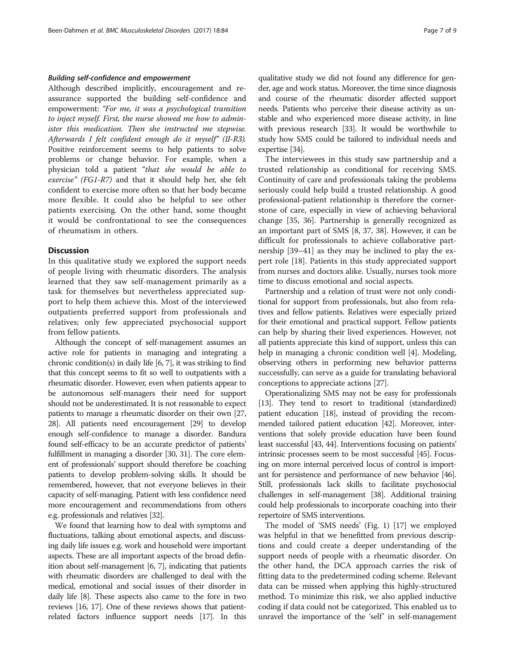# Building self-confidence and empowerment

Although described implicitly, encouragement and reassurance supported the building self-confidence and empowerment: "For me, it was a psychological transition to inject myself. First, the nurse showed me how to administer this medication. Then she instructed me stepwise. Afterwards I felt confident enough do it myself" (II-R3). Positive reinforcement seems to help patients to solve problems or change behavior. For example, when a physician told a patient "that she would be able to exercise" (FG1-R7) and that it should help her, she felt confident to exercise more often so that her body became more flexible. It could also be helpful to see other patients exercising. On the other hand, some thought it would be confrontational to see the consequences of rheumatism in others.

# **Discussion**

In this qualitative study we explored the support needs of people living with rheumatic disorders. The analysis learned that they saw self-management primarily as a task for themselves but nevertheless appreciated support to help them achieve this. Most of the interviewed outpatients preferred support from professionals and relatives; only few appreciated psychosocial support from fellow patients.

Although the concept of self-management assumes an active role for patients in managing and integrating a chronic condition(s) in daily life [\[6, 7](#page-7-0)], it was striking to find that this concept seems to fit so well to outpatients with a rheumatic disorder. However, even when patients appear to be autonomous self-managers their need for support should not be underestimated. It is not reasonable to expect patients to manage a rheumatic disorder on their own [\[27](#page-8-0), [28](#page-8-0)]. All patients need encouragement [\[29\]](#page-8-0) to develop enough self-confidence to manage a disorder. Bandura found self-efficacy to be an accurate predictor of patients' fulfillment in managing a disorder [[30](#page-8-0), [31](#page-8-0)]. The core element of professionals' support should therefore be coaching patients to develop problem-solving skills. It should be remembered, however, that not everyone believes in their capacity of self-managing. Patient with less confidence need more encouragement and recommendations from others e.g. professionals and relatives [\[32\]](#page-8-0).

We found that learning how to deal with symptoms and fluctuations, talking about emotional aspects, and discussing daily life issues e.g. work and household were important aspects. These are all important aspects of the broad definition about self-management [[6](#page-7-0), [7](#page-7-0)], indicating that patients with rheumatic disorders are challenged to deal with the medical, emotional and social issues of their disorder in daily life [\[8\]](#page-7-0). These aspects also came to the fore in two reviews [\[16, 17\]](#page-8-0). One of these reviews shows that patientrelated factors influence support needs [\[17\]](#page-8-0). In this

qualitative study we did not found any difference for gender, age and work status. Moreover, the time since diagnosis and course of the rheumatic disorder affected support needs. Patients who perceive their disease activity as unstable and who experienced more disease activity, in line with previous research [\[33\]](#page-8-0). It would be worthwhile to study how SMS could be tailored to individual needs and expertise [\[34\]](#page-8-0).

The interviewees in this study saw partnership and a trusted relationship as conditional for receiving SMS. Continuity of care and professionals taking the problems seriously could help build a trusted relationship. A good professional-patient relationship is therefore the cornerstone of care, especially in view of achieving behavioral change [\[35, 36\]](#page-8-0). Partnership is generally recognized as an important part of SMS [[8,](#page-7-0) [37, 38](#page-8-0)]. However, it can be difficult for professionals to achieve collaborative partnership [[39](#page-8-0)–[41](#page-8-0)] as they may be inclined to play the expert role [[18\]](#page-8-0). Patients in this study appreciated support from nurses and doctors alike. Usually, nurses took more time to discuss emotional and social aspects.

Partnership and a relation of trust were not only conditional for support from professionals, but also from relatives and fellow patients. Relatives were especially prized for their emotional and practical support. Fellow patients can help by sharing their lived experiences. However, not all patients appreciate this kind of support, unless this can help in managing a chronic condition well [\[4](#page-7-0)]. Modeling, observing others in performing new behavior patterns successfully, can serve as a guide for translating behavioral conceptions to appreciate actions [[27](#page-8-0)].

Operationalizing SMS may not be easy for professionals [[13](#page-8-0)]. They tend to resort to traditional (standardized) patient education [\[18](#page-8-0)], instead of providing the recommended tailored patient education [\[42\]](#page-8-0). Moreover, interventions that solely provide education have been found least successful [\[43, 44\]](#page-8-0). Interventions focusing on patients' intrinsic processes seem to be most successful [\[45](#page-8-0)]. Focusing on more internal perceived locus of control is important for persistence and performance of new behavior [\[46](#page-8-0)]. Still, professionals lack skills to facilitate psychosocial challenges in self-management [\[38\]](#page-8-0). Additional training could help professionals to incorporate coaching into their repertoire of SMS interventions.

The model of 'SMS needs' (Fig. [1](#page-2-0)) [\[17\]](#page-8-0) we employed was helpful in that we benefitted from previous descriptions and could create a deeper understanding of the support needs of people with a rheumatic disorder. On the other hand, the DCA approach carries the risk of fitting data to the predetermined coding scheme. Relevant data can be missed when applying this highly-structured method. To minimize this risk, we also applied inductive coding if data could not be categorized. This enabled us to unravel the importance of the 'self' in self-management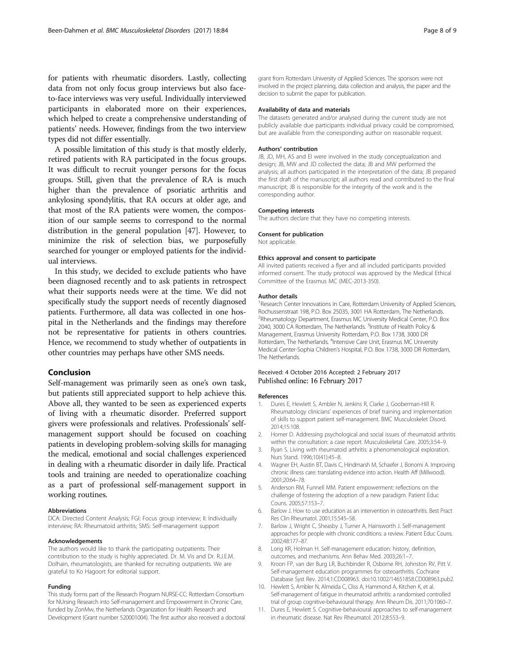<span id="page-7-0"></span>for patients with rheumatic disorders. Lastly, collecting data from not only focus group interviews but also faceto-face interviews was very useful. Individually interviewed participants in elaborated more on their experiences, which helped to create a comprehensive understanding of patients' needs. However, findings from the two interview types did not differ essentially.

A possible limitation of this study is that mostly elderly, retired patients with RA participated in the focus groups. It was difficult to recruit younger persons for the focus groups. Still, given that the prevalence of RA is much higher than the prevalence of psoriatic arthritis and ankylosing spondylitis, that RA occurs at older age, and that most of the RA patients were women, the composition of our sample seems to correspond to the normal distribution in the general population [\[47\]](#page-8-0). However, to minimize the risk of selection bias, we purposefully searched for younger or employed patients for the individual interviews.

In this study, we decided to exclude patients who have been diagnosed recently and to ask patients in retrospect what their supports needs were at the time. We did not specifically study the support needs of recently diagnosed patients. Furthermore, all data was collected in one hospital in the Netherlands and the findings may therefore not be representative for patients in others countries. Hence, we recommend to study whether of outpatients in other countries may perhaps have other SMS needs.

#### Conclusion

Self-management was primarily seen as one's own task, but patients still appreciated support to help achieve this. Above all, they wanted to be seen as experienced experts of living with a rheumatic disorder. Preferred support givers were professionals and relatives. Professionals' selfmanagement support should be focused on coaching patients in developing problem-solving skills for managing the medical, emotional and social challenges experienced in dealing with a rheumatic disorder in daily life. Practical tools and training are needed to operationalize coaching as a part of professional self-management support in working routines.

#### Abbreviations

DCA: Directed Content Analysis; FGI: Focus group interview; II: Individually interview; RA: Rheumatoid arthritis; SMS: Self-management support

#### Acknowledgements

The authors would like to thank the participating outpatients. Their contribution to the study is highly appreciated. Dr. M. Vis and Dr. R.J.E.M. Dolhain, rheumatologists, are thanked for recruiting outpatients. We are grateful to Ko Hagoort for editorial support.

#### Funding

This study forms part of the Research Program NURSE-CC: Rotterdam Consortium for NUrsing Research into Self-management and Empowerment in Chronic Care, funded by ZonMw, the Netherlands Organization for Health Research and Development (Grant number 520001004). The first author also received a doctoral

grant from Rotterdam University of Applied Sciences. The sponsors were not involved in the project planning, data collection and analysis, the paper and the decision to submit the paper for publication.

#### Availability of data and materials

The datasets generated and/or analysed during the current study are not publicly available due participants individual privacy could be compromised, but are available from the corresponding author on reasonable request.

#### Authors' contribution

JB, JD, MH, AS and EI were involved in the study conceptualization and design; JB, MW and JD collected the data; JB and MW performed the analysis; all authors participated in the interpretation of the data; JB prepared the first draft of the manuscript; all authors read and contributed to the final manuscript; JB is responsible for the integrity of the work and is the corresponding author.

#### Competing interests

The authors declare that they have no competing interests.

#### Consent for publication

Not applicable.

#### Ethics approval and consent to participate

All invited patients received a flyer and all included participants provided informed consent. The study protocol was approved by the Medical Ethical Committee of the Erasmus MC (MEC-2013-350).

#### Author details

<sup>1</sup> Research Center Innovations in Care, Rotterdam University of Applied Sciences, Rochussenstraat 198, P.O. Box 25035, 3001 HA Rotterdam, The Netherlands. <sup>2</sup>Rheumatology Department, Erasmus MC University Medical Center, P.O. Box 2040, 3000 CA Rotterdam, The Netherlands. <sup>3</sup>Institute of Health Policy & Management, Erasmus University Rotterdam, P.O. Box 1738, 3000 DR Rotterdam, The Netherlands. <sup>4</sup>Intensive Care Unit, Erasmus MC University Medical Center-Sophia Children's Hospital, P.O. Box 1738, 3000 DR Rotterdam, The Netherlands.

#### Received: 4 October 2016 Accepted: 2 February 2017 Published online: 16 February 2017

#### References

- 1. Dures E, Hewlett S, Ambler N, Jenkins R, Clarke J, Gooberman-Hill R. Rheumatology clinicians' experiences of brief training and implementation of skills to support patient self-management. BMC Musculoskelet Disord. 2014;15:108.
- 2. Homer D. Addressing psychological and social issues of rheumatoid arthritis within the consultation: a case report. Musculoskeletal Care. 2005;3:54–9.
- 3. Ryan S. Living with rheumatoid arthritis: a phenomenological exploration. Nurs Stand. 1996;10(41):45–8.
- 4. Wagner EH, Austin BT, Davis C, Hindmarsh M, Schaefer J, Bonomi A. Improving chronic illness care: translating evidence into action. Health Aff (Millwood). 2001;20:64–78.
- 5. Anderson RM, Funnell MM. Patient empowerment: reflections on the challenge of fostering the adoption of a new paradigm. Patient Educ Couns. 2005;57:153–7.
- 6. Barlow J. How to use education as an intervention in osteoarthritis. Best Pract Res Clin Rheumatol. 2001;15:545–58.
- 7. Barlow J, Wright C, Sheasby J, Turner A, Hainsworth J. Self-management approaches for people with chronic conditions: a review. Patient Educ Couns. 2002;48:177–87.
- Lorig KR, Holman H. Self-management education: history, definition, outcomes, and mechanisms. Ann Behav Med. 2003;26:1–7.
- 9. Kroon FP, van der Burg LR, Buchbinder R, Osborne RH, Johnston RV, Pitt V. Self-management education programmes for osteoarthritis. Cochrane Database Syst Rev. 2014;1:CD008963. doi:[10.1002/14651858.CD008963.pub2.](http://dx.doi.org/10.1002/14651858.CD008963.pub2)
- 10. Hewlett S, Ambler N, Almeida C, Cliss A, Hammond A, Kitchen K, et al. Self-management of fatigue in rheumatoid arthritis: a randomised controlled trial of group cognitive-behavioural therapy. Ann Rheum Dis. 2011;70:1060–7.
- 11. Dures E, Hewlett S. Cognitive-behavioural approaches to self-management in rheumatic disease. Nat Rev Rheumatol. 2012;8:553–9.